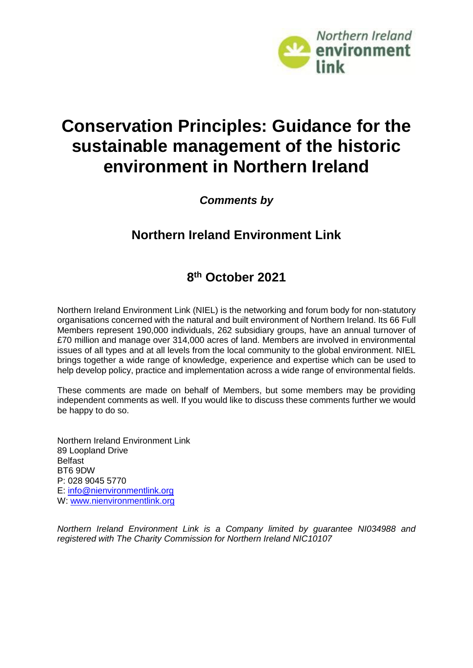

# **Conservation Principles: Guidance for the sustainable management of the historic environment in Northern Ireland**

*Comments by*

# **Northern Ireland Environment Link**

# **8 th October 2021**

Northern Ireland Environment Link (NIEL) is the networking and forum body for non‐statutory organisations concerned with the natural and built environment of Northern Ireland. Its 66 Full Members represent 190,000 individuals, 262 subsidiary groups, have an annual turnover of £70 million and manage over 314,000 acres of land. Members are involved in environmental issues of all types and at all levels from the local community to the global environment. NIEL brings together a wide range of knowledge, experience and expertise which can be used to help develop policy, practice and implementation across a wide range of environmental fields.

These comments are made on behalf of Members, but some members may be providing independent comments as well. If you would like to discuss these comments further we would be happy to do so.

Northern Ireland Environment Link 89 Loopland Drive Belfast BT6 9DW P: 028 9045 5770 E: [info@nienvironmentlink.org](mailto:info@nienvironmentlink.org) W: [www.nienvironmentlink.org](http://www.nienvironmentlink.org/)

*Northern Ireland Environment Link is a Company limited by guarantee NI034988 and registered with The Charity Commission for Northern Ireland NIC10107*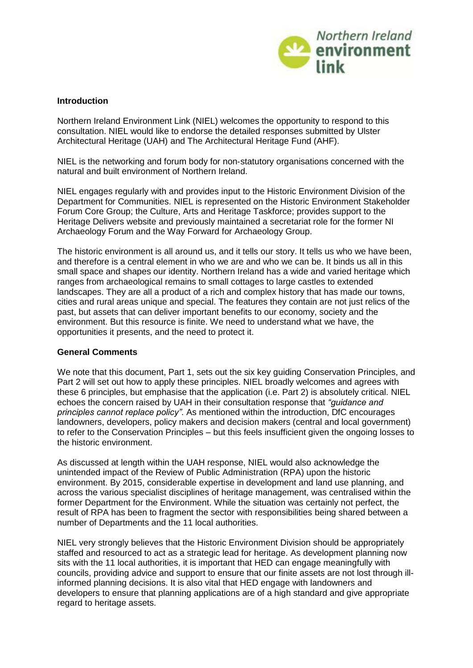

# **Introduction**

Northern Ireland Environment Link (NIEL) welcomes the opportunity to respond to this consultation. NIEL would like to endorse the detailed responses submitted by Ulster Architectural Heritage (UAH) and The Architectural Heritage Fund (AHF).

NIEL is the networking and forum body for non‐statutory organisations concerned with the natural and built environment of Northern Ireland.

NIEL engages regularly with and provides input to the Historic Environment Division of the Department for Communities. NIEL is represented on the Historic Environment Stakeholder Forum Core Group; the Culture, Arts and Heritage Taskforce; provides support to the Heritage Delivers website and previously maintained a secretariat role for the former NI Archaeology Forum and the Way Forward for Archaeology Group.

The historic environment is all around us, and it tells our story. It tells us who we have been, and therefore is a central element in who we are and who we can be. It binds us all in this small space and shapes our identity. Northern Ireland has a wide and varied heritage which ranges from archaeological remains to small cottages to large castles to extended landscapes. They are all a product of a rich and complex history that has made our towns, cities and rural areas unique and special. The features they contain are not just relics of the past, but assets that can deliver important benefits to our economy, society and the environment. But this resource is finite. We need to understand what we have, the opportunities it presents, and the need to protect it.

#### **General Comments**

We note that this document, Part 1, sets out the six key guiding Conservation Principles, and Part 2 will set out how to apply these principles. NIEL broadly welcomes and agrees with these 6 principles, but emphasise that the application (i.e. Part 2) is absolutely critical. NIEL echoes the concern raised by UAH in their consultation response that *"guidance and principles cannot replace policy"*. As mentioned within the introduction, DfC encourages landowners, developers, policy makers and decision makers (central and local government) to refer to the Conservation Principles – but this feels insufficient given the ongoing losses to the historic environment.

As discussed at length within the UAH response, NIEL would also acknowledge the unintended impact of the Review of Public Administration (RPA) upon the historic environment. By 2015, considerable expertise in development and land use planning, and across the various specialist disciplines of heritage management, was centralised within the former Department for the Environment. While the situation was certainly not perfect, the result of RPA has been to fragment the sector with responsibilities being shared between a number of Departments and the 11 local authorities.

NIEL very strongly believes that the Historic Environment Division should be appropriately staffed and resourced to act as a strategic lead for heritage. As development planning now sits with the 11 local authorities, it is important that HED can engage meaningfully with councils, providing advice and support to ensure that our finite assets are not lost through illinformed planning decisions. It is also vital that HED engage with landowners and developers to ensure that planning applications are of a high standard and give appropriate regard to heritage assets.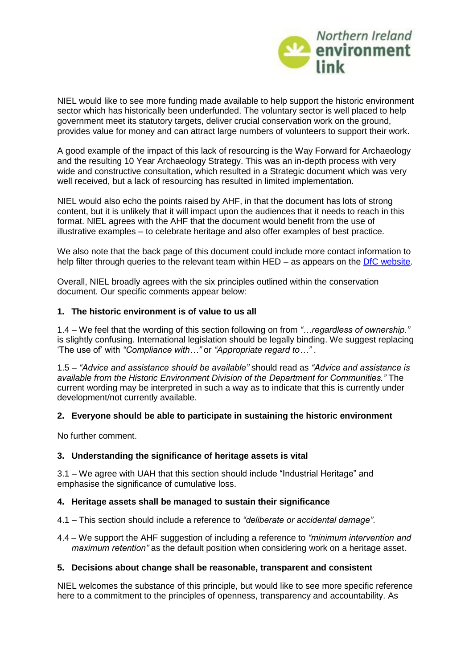

NIEL would like to see more funding made available to help support the historic environment sector which has historically been underfunded. The voluntary sector is well placed to help government meet its statutory targets, deliver crucial conservation work on the ground, provides value for money and can attract large numbers of volunteers to support their work.

A good example of the impact of this lack of resourcing is the Way Forward for Archaeology and the resulting 10 Year Archaeology Strategy. This was an in-depth process with very wide and constructive consultation, which resulted in a Strategic document which was very well received, but a lack of resourcing has resulted in limited implementation.

NIEL would also echo the points raised by AHF, in that the document has lots of strong content, but it is unlikely that it will impact upon the audiences that it needs to reach in this format. NIEL agrees with the AHF that the document would benefit from the use of illustrative examples – to celebrate heritage and also offer examples of best practice.

We also note that the back page of this document could include more contact information to help filter through queries to the relevant team within HED – as appears on the DfC [website.](https://www.communities-ni.gov.uk/contacts/historic-environment-contacts)

Overall, NIEL broadly agrees with the six principles outlined within the conservation document. Our specific comments appear below:

# **1. The historic environment is of value to us all**

1.4 – We feel that the wording of this section following on from *"…regardless of ownership."* is slightly confusing. International legislation should be legally binding. We suggest replacing 'The use of' with *"Compliance with…"* or *"Appropriate regard to…"* .

1.5 – *"Advice and assistance should be available"* should read as *"Advice and assistance is available from the Historic Environment Division of the Department for Communities."* The current wording may be interpreted in such a way as to indicate that this is currently under development/not currently available.

#### **2. Everyone should be able to participate in sustaining the historic environment**

No further comment.

# **3. Understanding the significance of heritage assets is vital**

3.1 – We agree with UAH that this section should include "Industrial Heritage" and emphasise the significance of cumulative loss.

### **4. Heritage assets shall be managed to sustain their significance**

4.1 – This section should include a reference to *"deliberate or accidental damage"*.

4.4 – We support the AHF suggestion of including a reference to *"minimum intervention and maximum retention"* as the default position when considering work on a heritage asset.

#### **5. Decisions about change shall be reasonable, transparent and consistent**

NIEL welcomes the substance of this principle, but would like to see more specific reference here to a commitment to the principles of openness, transparency and accountability. As